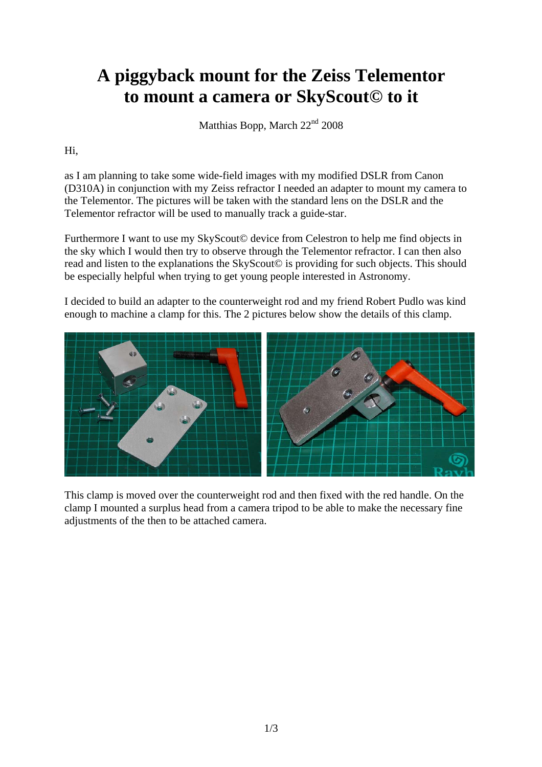## **A piggyback mount for the Zeiss Telementor to mount a camera or SkyScout© to it**

Matthias Bopp, March 22<sup>nd</sup> 2008

## Hi,

as I am planning to take some wide-field images with my modified DSLR from Canon (D310A) in conjunction with my Zeiss refractor I needed an adapter to mount my camera to the Telementor. The pictures will be taken with the standard lens on the DSLR and the Telementor refractor will be used to manually track a guide-star.

Furthermore I want to use my SkyScout© device from Celestron to help me find objects in the sky which I would then try to observe through the Telementor refractor. I can then also read and listen to the explanations the SkyScout© is providing for such objects. This should be especially helpful when trying to get young people interested in Astronomy.

I decided to build an adapter to the counterweight rod and my friend Robert Pudlo was kind enough to machine a clamp for this. The 2 pictures below show the details of this clamp.



This clamp is moved over the counterweight rod and then fixed with the red handle. On the clamp I mounted a surplus head from a camera tripod to be able to make the necessary fine adjustments of the then to be attached camera.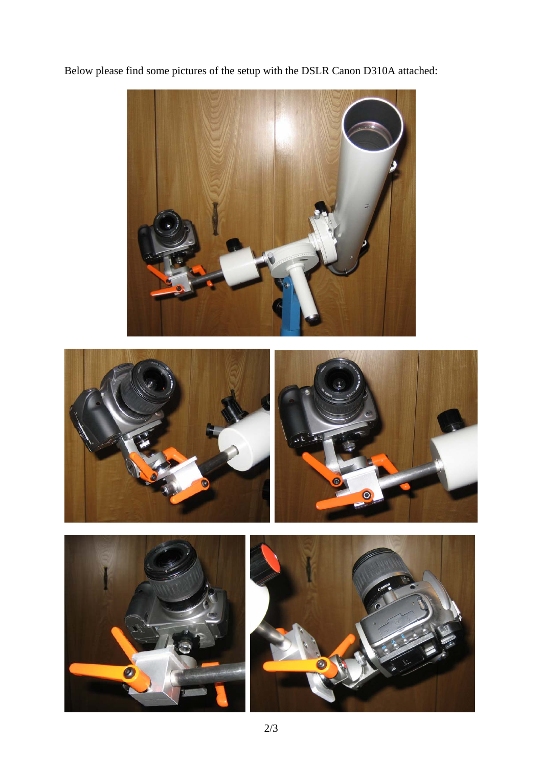Below please find some pictures of the setup with the DSLR Canon D310A attached: